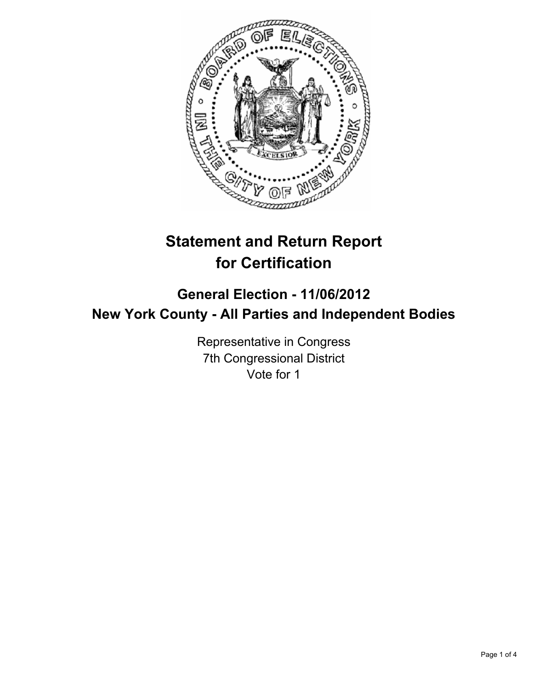

# **Statement and Return Report for Certification**

# **General Election - 11/06/2012 New York County - All Parties and Independent Bodies**

Representative in Congress 7th Congressional District Vote for 1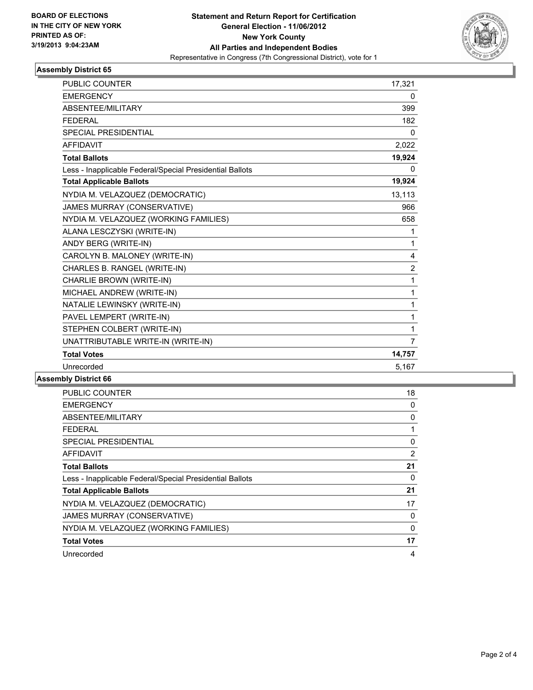

## **Assembly District 65**

| <b>PUBLIC COUNTER</b>                                    | 17,321         |
|----------------------------------------------------------|----------------|
| <b>EMERGENCY</b>                                         | 0              |
| ABSENTEE/MILITARY                                        | 399            |
| <b>FEDERAL</b>                                           | 182            |
| <b>SPECIAL PRESIDENTIAL</b>                              | 0              |
| <b>AFFIDAVIT</b>                                         | 2,022          |
| <b>Total Ballots</b>                                     | 19,924         |
| Less - Inapplicable Federal/Special Presidential Ballots | 0              |
| <b>Total Applicable Ballots</b>                          | 19,924         |
| NYDIA M. VELAZQUEZ (DEMOCRATIC)                          | 13,113         |
| JAMES MURRAY (CONSERVATIVE)                              | 966            |
| NYDIA M. VELAZQUEZ (WORKING FAMILIES)                    | 658            |
| ALANA LESCZYSKI (WRITE-IN)                               | 1              |
| ANDY BERG (WRITE-IN)                                     | 1              |
| CAROLYN B. MALONEY (WRITE-IN)                            | 4              |
| CHARLES B. RANGEL (WRITE-IN)                             | $\overline{2}$ |
| CHARLIE BROWN (WRITE-IN)                                 | $\mathbf{1}$   |
| MICHAEL ANDREW (WRITE-IN)                                | $\mathbf{1}$   |
| NATALIE LEWINSKY (WRITE-IN)                              | 1              |
| PAVEL LEMPERT (WRITE-IN)                                 | 1              |
| STEPHEN COLBERT (WRITE-IN)                               | 1              |
| UNATTRIBUTABLE WRITE-IN (WRITE-IN)                       | $\overline{7}$ |
| <b>Total Votes</b>                                       | 14,757         |
| Unrecorded                                               | 5,167          |

#### **Assembly District 66**

| <b>PUBLIC COUNTER</b>                                    | 18 |
|----------------------------------------------------------|----|
| <b>EMERGENCY</b>                                         | 0  |
| ABSENTEE/MILITARY                                        | 0  |
| FEDERAL                                                  | 1  |
| <b>SPECIAL PRESIDENTIAL</b>                              | 0  |
| AFFIDAVIT                                                | 2  |
| <b>Total Ballots</b>                                     | 21 |
| Less - Inapplicable Federal/Special Presidential Ballots | 0  |
| <b>Total Applicable Ballots</b>                          | 21 |
| NYDIA M. VELAZQUEZ (DEMOCRATIC)                          | 17 |
| JAMES MURRAY (CONSERVATIVE)                              | 0  |
| NYDIA M. VELAZQUEZ (WORKING FAMILIES)                    | 0  |
| <b>Total Votes</b>                                       | 17 |
| Unrecorded                                               | 4  |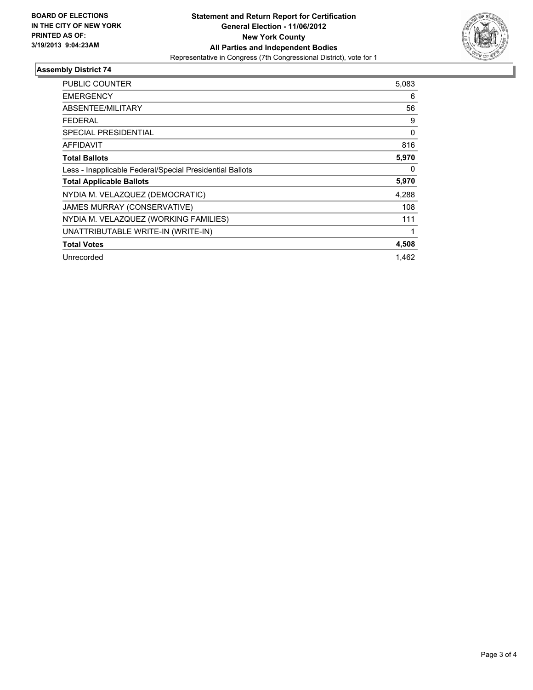

## **Assembly District 74**

| PUBLIC COUNTER                                           | 5,083    |
|----------------------------------------------------------|----------|
| <b>EMERGENCY</b>                                         | 6        |
| <b>ABSENTEE/MILITARY</b>                                 | 56       |
| FEDERAL                                                  | 9        |
| <b>SPECIAL PRESIDENTIAL</b>                              | $\Omega$ |
| <b>AFFIDAVIT</b>                                         | 816      |
| <b>Total Ballots</b>                                     | 5,970    |
| Less - Inapplicable Federal/Special Presidential Ballots | 0        |
| <b>Total Applicable Ballots</b>                          | 5,970    |
| NYDIA M. VELAZQUEZ (DEMOCRATIC)                          | 4,288    |
| JAMES MURRAY (CONSERVATIVE)                              | 108      |
| NYDIA M. VELAZQUEZ (WORKING FAMILIES)                    | 111      |
| UNATTRIBUTABLE WRITE-IN (WRITE-IN)                       |          |
| <b>Total Votes</b>                                       | 4,508    |
| Unrecorded                                               | 1.462    |